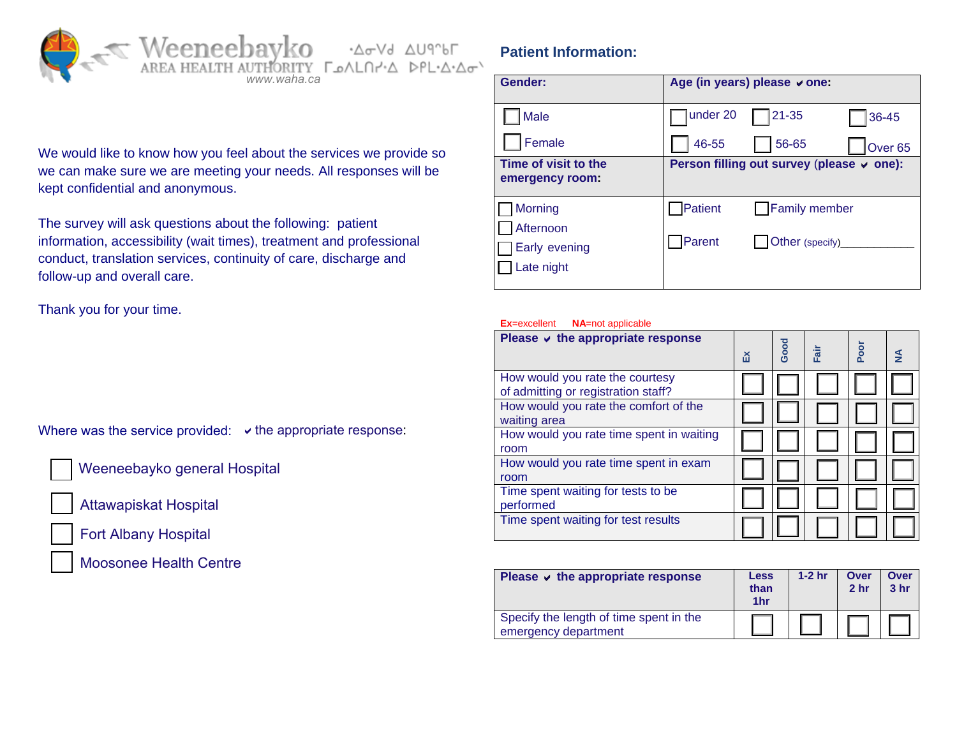

## **Patient Information:**

| www.waha.ca                                                                               | Gender:                                         | Age (in years) please ∨ one:              |  |  |
|-------------------------------------------------------------------------------------------|-------------------------------------------------|-------------------------------------------|--|--|
|                                                                                           | Male                                            | under 20<br>121-35<br>36-45               |  |  |
| I about the services we provide so                                                        | Female                                          | 46-55<br>56-65<br>Over <sub>65</sub>      |  |  |
| your needs. All responses will be                                                         | Time of visit to the<br>emergency room:         | Person filling out survey (please v one): |  |  |
|                                                                                           | Morning                                         | Patient<br><b>Family member</b>           |  |  |
| t the following: patient<br>s), treatment and professional<br>uity of care, discharge and | Afternoon<br><b>Early evening</b><br>Late night | Parent<br>Other (specify)                 |  |  |
|                                                                                           |                                                 |                                           |  |  |

#### **Ex**=excellent **NA**=not applicable

| Please $\vee$ the appropriate response                                 | ă | Good | iis- | Poor | $\frac{4}{2}$ |
|------------------------------------------------------------------------|---|------|------|------|---------------|
| How would you rate the courtesy<br>of admitting or registration staff? |   |      |      |      |               |
| How would you rate the comfort of the<br>waiting area                  |   |      |      |      |               |
| How would you rate time spent in waiting<br>room                       |   |      |      |      |               |
| How would you rate time spent in exam<br>room                          |   |      |      |      |               |
| Time spent waiting for tests to be<br>performed                        |   |      |      |      |               |
| Time spent waiting for test results                                    |   |      |      |      |               |

| Please $\vee$ the appropriate response                          | <b>Less</b><br>than<br>1hr | $1-2$ hr | Over<br>2 <sub>hr</sub> | <b>Over</b><br>3 <sub>hr</sub> |
|-----------------------------------------------------------------|----------------------------|----------|-------------------------|--------------------------------|
| Specify the length of time spent in the<br>emergency department |                            |          |                         |                                |

We would like to know how you feel about the services we provide so we can make sure we are meeting your needs. All responses will be kept confidential and anonymous.

The survey will ask questions about the following: patient information, accessibility (wait times), treatment and professional conduct, translation services, continuity of care, discharge and follow-up and overall care.

Thank you for your time.

Where was the service provided:  $\vee$  the appropriate response:

Weeneebayko general Hospital

Attawapiskat Hospital



Fort Albany Hospital